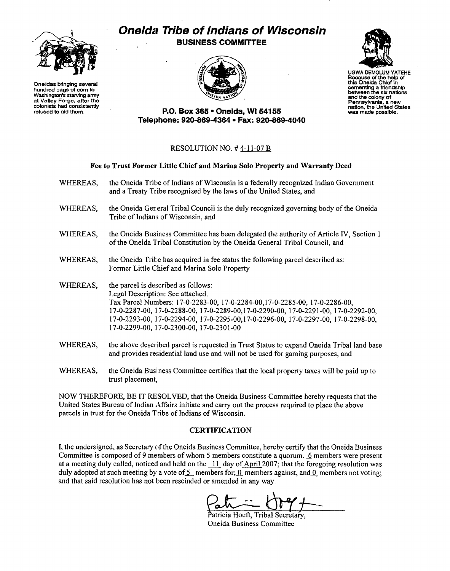

Oneidas bringing several hundred bags of com to Washington's starving army at Valley Forge, atter the colonists had consistently refused to aid them.

# Oneida Tribe of Indians of Wisconsin BUSINESS COMMITTEE





Because of the help of this Oneida Chief in camenting a friendship between the six nations and the colony of Pennsylvania, <sup>a</sup>new nation, the United States was made possible.

P.O. Box 365· Oneida, WI 54155 Telephone: 920-869-4364 • Fax: 920-869-4040

## RESOLUTION NO. # 4-11-07 B

### Fee to Trust Former Little Chief and Marina Solo Property and Warranty Deed

- WHEREAS, the Oneida Tribe of Indians of Wisconsin is a federally recognized Indian Government and a Treaty Tribe recognized by the laws of the United States, and
- WHEREAS, the Oneida General Tribal Council is the duly recognized governing body of the Oneida Tribe of Indians of Wisconsin, and
- WHEREAS, the Oneida Business Committee has been delegated the authority of Article IV, Section 1 of the Oneida Tribal Constitution by the Oneida General Tribal Council, and
- WHEREAS, the Oneida Tribe has acquired in fee status the following parcel described as: Former Little Chief and Marina Solo Property
- WHEREAS, the parcel is described as follows: Legal Description: See attached. Tax Parcel Numbers: 17-0-2283-00, 17-0-2284-00,17-0-2285-00, 17-0-2286-00, 17-0-2287-00, 17-0-2288-00, 17-0-2289-00,17-0-2290-00, 17-0-2291-00, 17-0-2292-00, 17-0-2293-00, 17-0-2294-00, 17-0-2295-00,17-0-2296-00, 17-0-2297-00, 17-0-2298-00, 17-0-2299-00, 17-0-2300-00, 17-0-2301-00
- WHEREAS, the above described parcel is requested in Trust Status to expand Oneida Tribal land base and provides residential land use and will not be used for gaming purposes, and
- WHEREAS, the Oneida Business Committee certifies that the local property taxes will be paid up to trust placement,

NOW THEREFORE, BE IT RESOLVED, that the Oneida Business Committee hereby requests that the United States Bureau of Indian Affairs initiate and carry out the process required to place the above parcels in trust for the Oneida Tribe of Indians of Wisconsin.

### CERTIFICATION

I, the undersigned, as Secretary of the Oneida Business Committee, hereby certify that the Oneida Business Committee is composed of 9 members of whom 5 members constitute a quorum.  $6$  members were present at a meeting duly called, noticed and held on the  $\frac{11}{11}$  day of April 2007; that the foregoing resolution was duly adopted at such meeting by a vote of 5 members for; 0 members against, and 0 members not voting; and that said resolution has not been rescinded or amended in any way.

Patricia Hoeft, Tribal Secretary, Oneida Business Committee